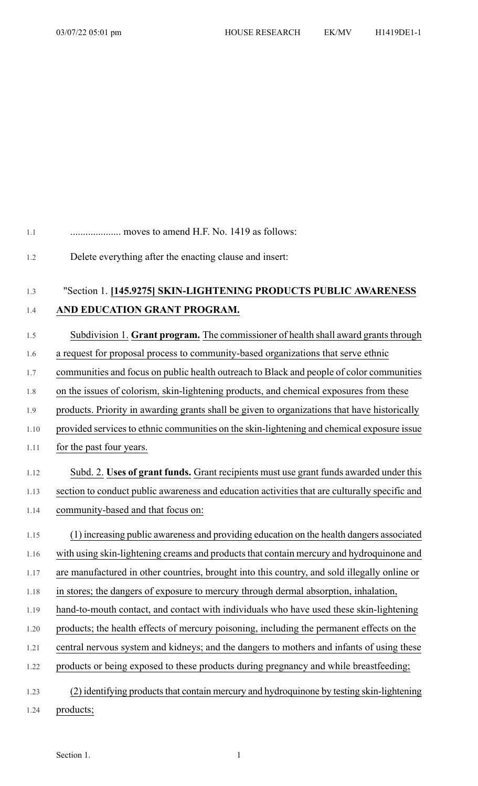#### 1.1 .................... moves to amend H.F. No. 1419 as follows:

1.2 Delete everything after the enacting clause and insert:

### 1.3 "Section 1. **[145.9275] SKIN-LIGHTENING PRODUCTS PUBLIC AWARENESS** 1.4 **AND EDUCATION GRANT PROGRAM.**

#### 1.5 Subdivision 1. **Grant program.** The commissioner of health shall award grants through

- 1.6 a request for proposal process to community-based organizations that serve ethnic
- 1.7 communities and focus on public health outreach to Black and people of color communities
- 1.8 on the issues of colorism, skin-lightening products, and chemical exposures from these
- 1.9 products. Priority in awarding grants shall be given to organizations that have historically
- 1.10 provided services to ethnic communities on the skin-lightening and chemical exposure issue
- 1.11 for the past four years.

# 1.12 Subd. 2. **Uses of grant funds.** Grant recipients must use grant funds awarded under this 1.13 section to conduct public awareness and education activities that are culturally specific and

1.14 community-based and that focus on:

## 1.15 (1) increasing public awareness and providing education on the health dangers associated 1.16 with using skin-lightening creams and products that contain mercury and hydroquinone and

- 1.17 are manufactured in other countries, brought into this country, and sold illegally online or
- 1.18 in stores; the dangers of exposure to mercury through dermal absorption, inhalation,
- 1.19 hand-to-mouth contact, and contact with individuals who have used these skin-lightening
- 1.20 products; the health effects of mercury poisoning, including the permanent effects on the
- 1.21 central nervous system and kidneys; and the dangers to mothers and infants of using these
- 1.22 products or being exposed to these products during pregnancy and while breastfeeding;
- 1.23 (2) identifying products that contain mercury and hydroquinone by testing skin-lightening
- 1.24 products;